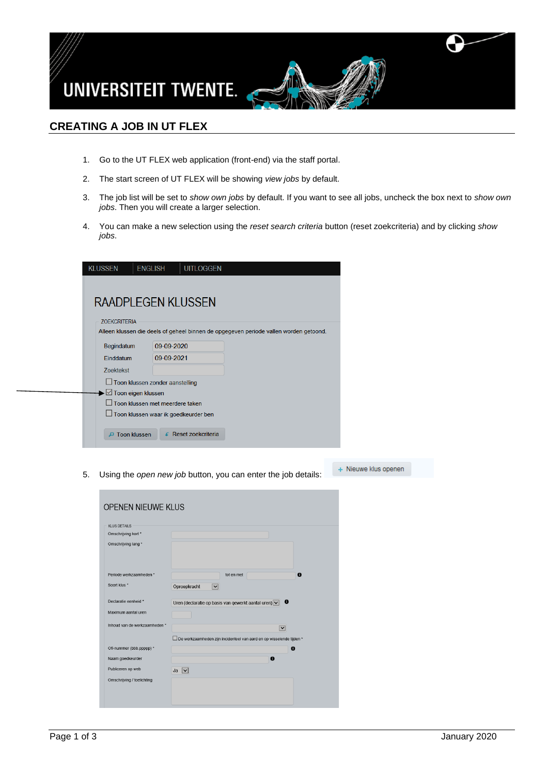

## **CREATING A JOB IN UT FLEX**

- 1. Go to the UT FLEX web application (front-end) via the staff portal.
- 2. The start screen of UT FLEX will be showing *view jobs* by default.
- 3. The job list will be set to *show own jobs* by default. If you want to see all jobs, uncheck the box next to *show own jobs*. Then you will create a larger selection.
- 4. You can make a new selection using the *reset search criteria* button (reset zoekcriteria) and by clicking *show jobs*.

| <b>KLUSSEN</b>                  | <b>ENGLISH</b>                         | <b>UITLOGGEN</b>   |                                                                                       |  |
|---------------------------------|----------------------------------------|--------------------|---------------------------------------------------------------------------------------|--|
|                                 |                                        |                    |                                                                                       |  |
|                                 |                                        |                    |                                                                                       |  |
|                                 |                                        |                    |                                                                                       |  |
| RAADPLEGEN KLUSSEN              |                                        |                    |                                                                                       |  |
| <b>ZOEKCRITERIA</b>             |                                        |                    |                                                                                       |  |
|                                 |                                        |                    |                                                                                       |  |
|                                 |                                        |                    | Alleen klussen die deels of geheel binnen de opgegeven periode vallen worden getoond. |  |
| Begindatum                      | 09-09-2020                             |                    |                                                                                       |  |
| <b>Einddatum</b>                | 09-09-2021                             |                    |                                                                                       |  |
| <b>Zoektekst</b>                |                                        |                    |                                                                                       |  |
|                                 | $\Box$ Toon klussen zonder aanstelling |                    |                                                                                       |  |
| → △ Toon eigen klussen          |                                        |                    |                                                                                       |  |
|                                 | $\Box$ Toon klussen met meerdere taken |                    |                                                                                       |  |
|                                 | □ Toon klussen waar ik goedkeurder ben |                    |                                                                                       |  |
|                                 |                                        |                    |                                                                                       |  |
| <b>Toon klussen</b><br>$\Omega$ |                                        | Reset zoekcriteria |                                                                                       |  |
|                                 |                                        |                    |                                                                                       |  |

5. Using the *open new job* button, you can enter the job details:

+ Nieuwe klus openen

| <b>KLUS DETAILS</b>           |                                                                                              |
|-------------------------------|----------------------------------------------------------------------------------------------|
| Omschrijving kort *           |                                                                                              |
| Omschrijving lang *           |                                                                                              |
| Periode werkzaamheden *       | $\bullet$<br>tot en met                                                                      |
| Soort klus *                  | Oproepkracht<br>$\overline{\mathbf{v}}$                                                      |
| Declaratie eenheid *          | $\mathbf{\theta}$<br>Uren (declaratie op basis van gewerkt aantal uren) $\boxed{\checkmark}$ |
| Maximum aantal uren           |                                                                                              |
| Inhoud van de werkzaamheden * | $\overline{\mathsf{v}}$                                                                      |
|                               | De werkzaamheden zijn incidenteel van aard en op wisselende tijden *                         |
| Ofi-nummer (bbb.ppppp) *      | $\bullet$                                                                                    |
| Naam goedkeurder              | $\mathbf{\Theta}$                                                                            |
| Publiceren op web             | $Ja$ $\vee$                                                                                  |
| Omschrijving / toelichting    |                                                                                              |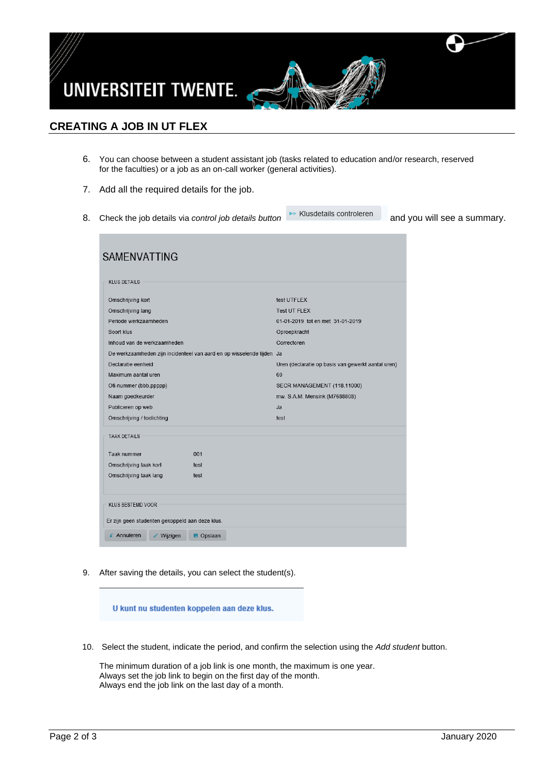

## **CREATING A JOB IN UT FLEX**

- 6. You can choose between a student assistant job (tasks related to education and/or research, reserved for the faculties) or a job as an on-call worker (general activities).
- 7. Add all the required details for the job.
- 8. Check the job details via *control job details button* **Example 20** and you will see a summary.

| <b>SAMENVATTING</b>                                                   |                  |                                                    |
|-----------------------------------------------------------------------|------------------|----------------------------------------------------|
| <b>KLUS DETAILS</b>                                                   |                  |                                                    |
| Omschrijving kort                                                     |                  | test UTFLEX                                        |
| Omschrijving lang                                                     |                  | <b>Test UT FLEX</b>                                |
| Periode werkzaamheden                                                 |                  | 01-01-2019 tot en met 31-01-2019                   |
| Soort klus                                                            |                  | Oproepkracht                                       |
| Inhoud van de werkzaamheden.                                          |                  | Correctoren                                        |
| De werkzaamheden zijn incidenteel van aard en op wisselende tijden Ja |                  |                                                    |
| Declaratie eenheid                                                    |                  | Uren (declaratie op basis van gewerkt aantal uren) |
| Maximum aantal uren                                                   |                  | 60                                                 |
| Ofi-nummer (bbb.ppppp)                                                |                  | SECR MANAGEMENT (118.11000)                        |
| Naam goedkeurder                                                      |                  | mw. S.A.M. Mensink (M7688808)                      |
| Publiceren op web                                                     |                  | Ja                                                 |
| Omschrijving / toelichting                                            |                  | test                                               |
| <b>TAAK DETAILS</b>                                                   |                  |                                                    |
| Taak nummer                                                           | 001              |                                                    |
| Omschrijving taak kort                                                | test             |                                                    |
| Omschrijving taak lang                                                | test             |                                                    |
| <b>KLUS BESTEMD VOOR</b>                                              |                  |                                                    |
| Er zijn geen studenten gekoppeld aan deze klus.                       |                  |                                                    |
| $\epsilon$ Annuleren<br>Wijzigen                                      | <b>B</b> Opslaan |                                                    |

9. After saving the details, you can select the student(s).

U kunt nu studenten koppelen aan deze klus.

10. Select the student, indicate the period, and confirm the selection using the *Add student* button.

The minimum duration of a job link is one month, the maximum is one year. Always set the job link to begin on the first day of the month. Always end the job link on the last day of a month.